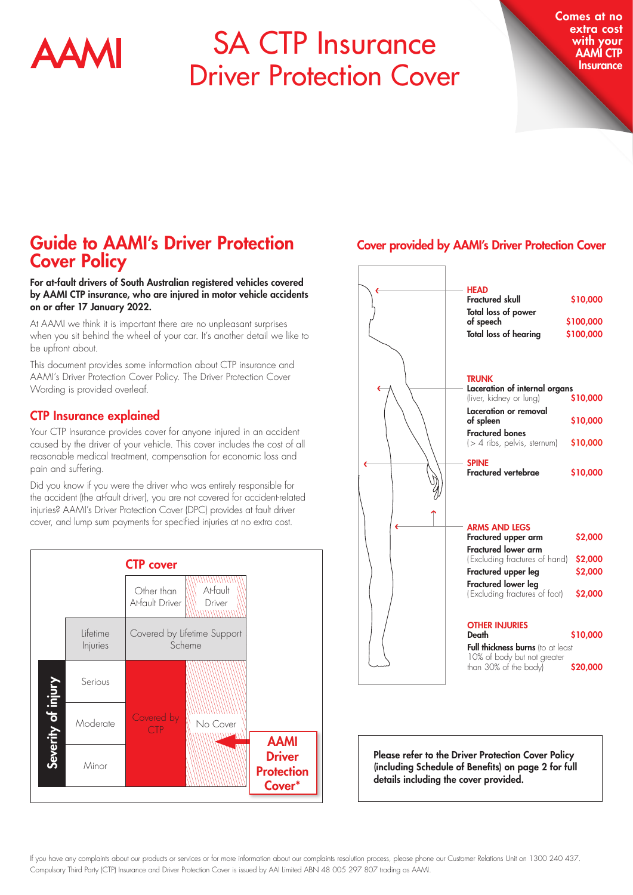

# SA CTP Insurance Driver Protection Cover

Comes at no extra cost with your AAMI CTP **Insurance** 

## Guide to AAMI's Driver Protection Cover Policy

#### For at-fault drivers of South Australian registered vehicles covered by AAMI CTP insurance, who are injured in motor vehicle accidents on or after 17 January 2022.

At AAMI we think it is important there are no unpleasant surprises when you sit behind the wheel of your car. It's another detail we like to be upfront about.

This document provides some information about CTP insurance and AAMI's Driver Protection Cover Policy. The Driver Protection Cover Wording is provided overleaf.

#### CTP Insurance explained

Your CTP Insurance provides cover for anyone injured in an accident caused by the driver of your vehicle. This cover includes the cost of all reasonable medical treatment, compensation for economic loss and pain and suffering.

Did you know if you were the driver who was entirely responsible for the accident (the at-fault driver), you are not covered for accident-related injuries? AAMI's Driver Protection Cover (DPC) provides at fault driver cover, and lump sum payments for specified injuries at no extra cost.



#### Cover provided by AAMI's Driver Protection Cover



If you have any complaints about our products or services or for more information about our complaints resolution process, please phone our Customer Relations Unit on 1300 240 437. Compulsory Third Party (CTP) Insurance and Driver Protection Cover is issued by AAI Limited ABN 48 005 297 807 trading as AAMI.